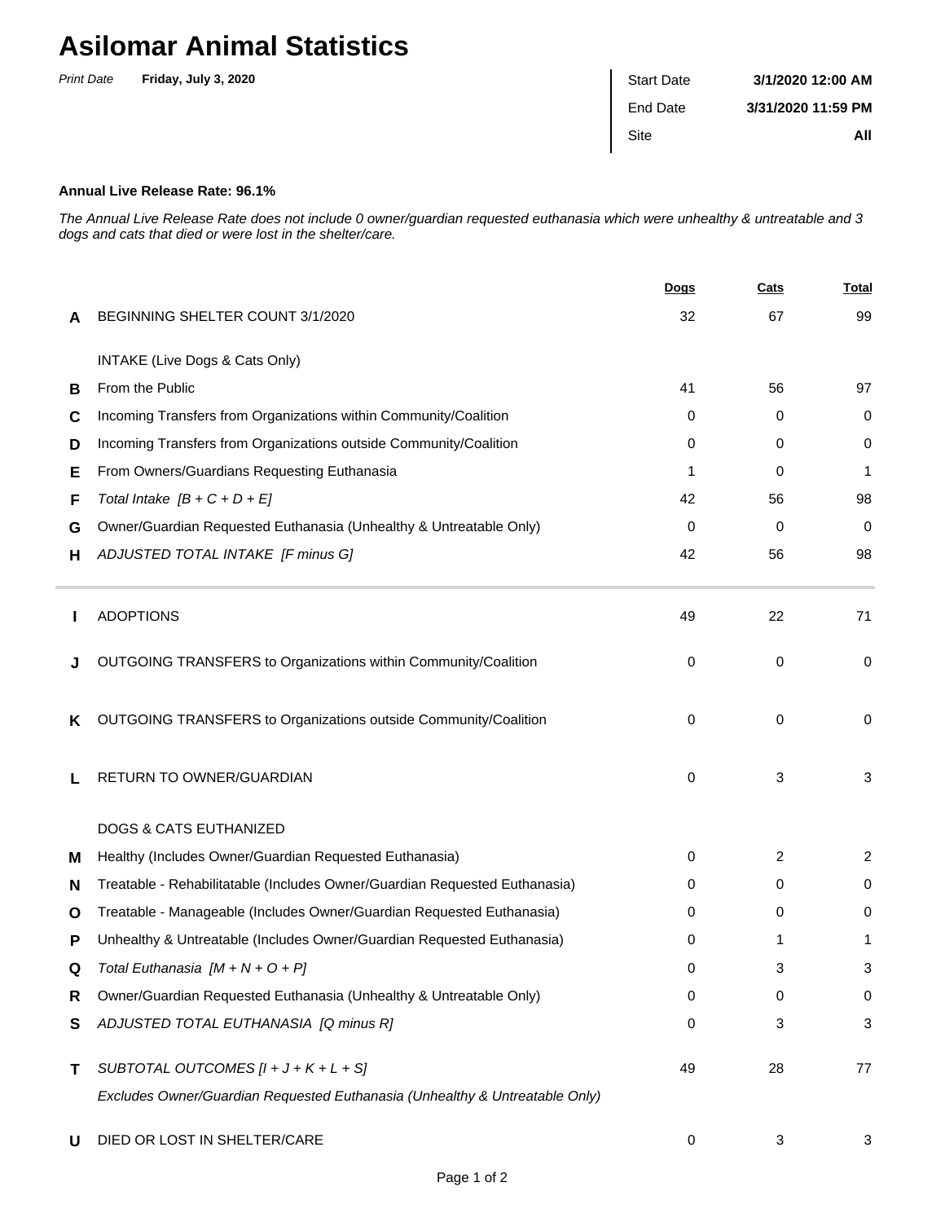## **Asilomar Animal Statistics**

| <b>Print Date</b> | Friday, July 3, 2020 | <b>Start Date</b> | 3/1/2020 12:00 AM  |
|-------------------|----------------------|-------------------|--------------------|
|                   |                      | End Date          | 3/31/2020 11:59 PM |
|                   |                      | Site              | All                |
|                   |                      |                   |                    |

## **Annual Live Release Rate: 96.1%**

The Annual Live Release Rate does not include 0 owner/guardian requested euthanasia which were unhealthy & untreatable and 3 dogs and cats that died or were lost in the shelter/care.

|   |                                                                             | Dogs     | Cats        | <u>Total</u>   |
|---|-----------------------------------------------------------------------------|----------|-------------|----------------|
| A | BEGINNING SHELTER COUNT 3/1/2020                                            | 32       | 67          | 99             |
|   | INTAKE (Live Dogs & Cats Only)                                              |          |             |                |
| В | From the Public                                                             | 41       | 56          | 97             |
| С | Incoming Transfers from Organizations within Community/Coalition            | 0        | 0           | 0              |
| D | Incoming Transfers from Organizations outside Community/Coalition           | 0        | 0           | 0              |
| Е | From Owners/Guardians Requesting Euthanasia                                 | 1        | 0           | 1              |
| F | Total Intake $[B + C + D + E]$                                              | 42       | 56          | 98             |
| G | Owner/Guardian Requested Euthanasia (Unhealthy & Untreatable Only)          | 0        | 0           | 0              |
| н | ADJUSTED TOTAL INTAKE [F minus G]                                           | 42       | 56          | 98             |
|   | <b>ADOPTIONS</b>                                                            | 49       | 22          | 71             |
|   | OUTGOING TRANSFERS to Organizations within Community/Coalition              | $\Omega$ | 0           | 0              |
| Κ | OUTGOING TRANSFERS to Organizations outside Community/Coalition             | 0        | $\mathbf 0$ | 0              |
| L | RETURN TO OWNER/GUARDIAN                                                    | 0        | 3           | 3              |
|   | <b>DOGS &amp; CATS EUTHANIZED</b>                                           |          |             |                |
| м | Healthy (Includes Owner/Guardian Requested Euthanasia)                      | 0        | 2           | $\overline{c}$ |
| N | Treatable - Rehabilitatable (Includes Owner/Guardian Requested Euthanasia)  | 0        | 0           | 0              |
| O | Treatable - Manageable (Includes Owner/Guardian Requested Euthanasia)       | 0        | 0           | 0              |
| Р | Unhealthy & Untreatable (Includes Owner/Guardian Requested Euthanasia)      | 0        | 1           | 1              |
|   | Total Euthanasia $[M + N + O + P]$                                          | 0        | 3           | 3              |
| R | Owner/Guardian Requested Euthanasia (Unhealthy & Untreatable Only)          | 0        | 0           | 0              |
| S | ADJUSTED TOTAL EUTHANASIA [Q minus R]                                       | 0        | 3           | 3              |
| Τ | SUBTOTAL OUTCOMES $[l + J + K + L + S]$                                     | 49       | 28          | 77             |
|   | Excludes Owner/Guardian Requested Euthanasia (Unhealthy & Untreatable Only) |          |             |                |
| U | DIED OR LOST IN SHELTER/CARE                                                | 0        | 3           | 3              |